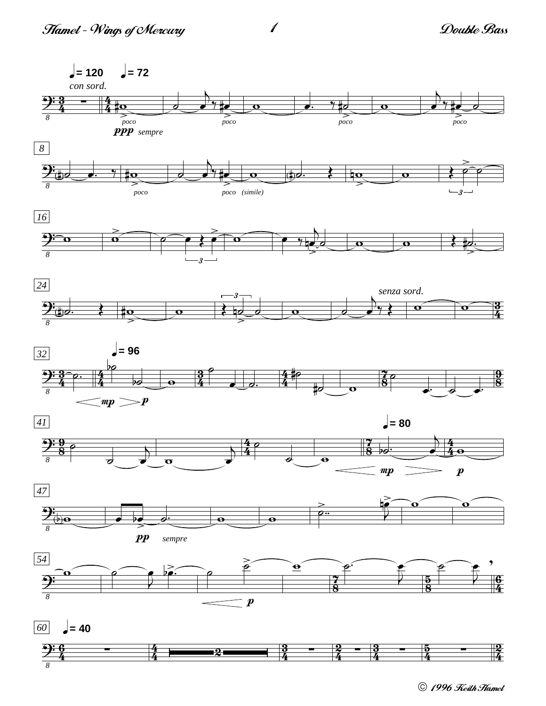

1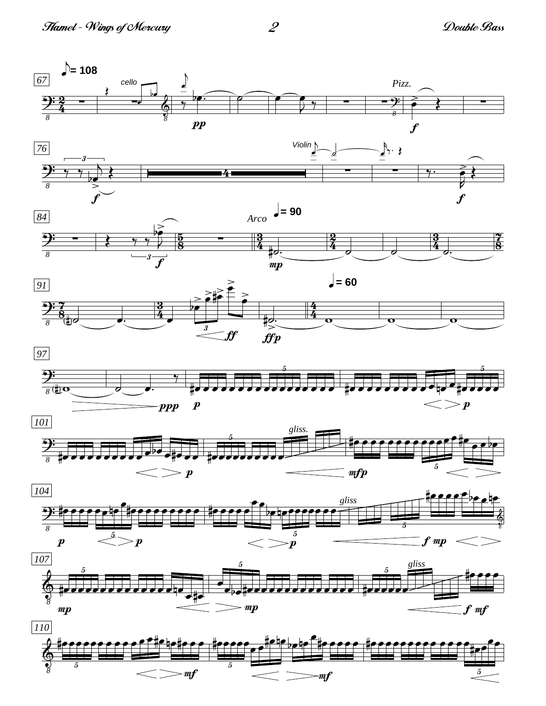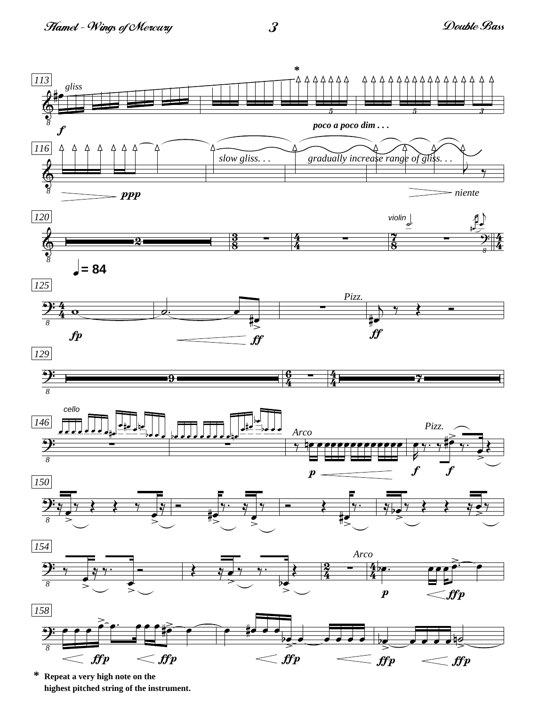

**\* Repeat a very high note on the highest pitched string of the instrument.**